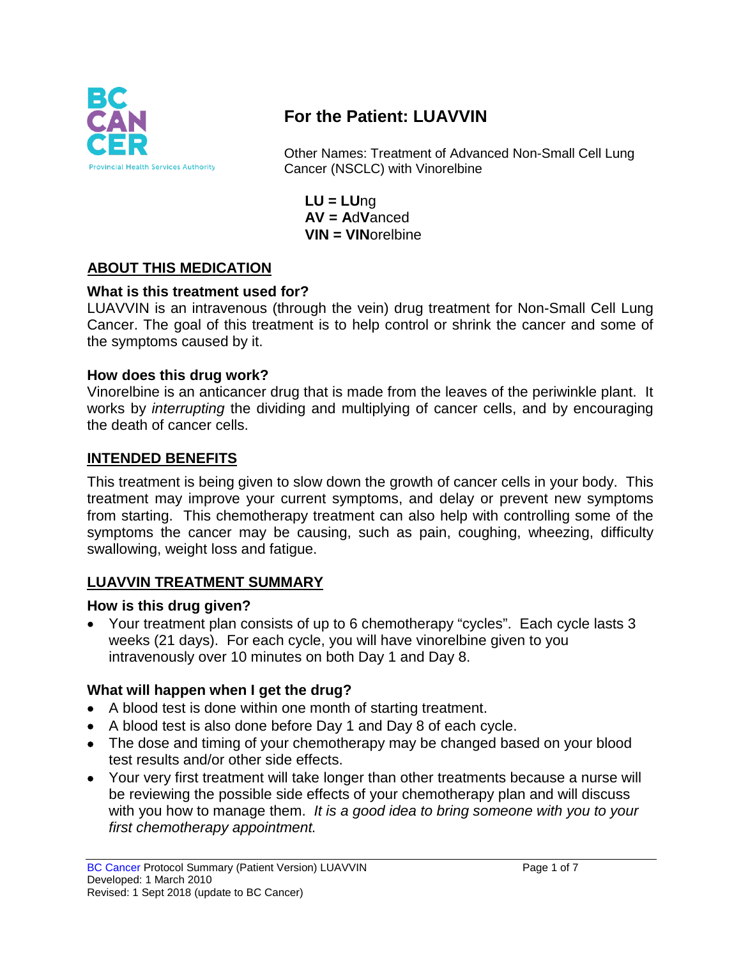

# **For the Patient: LUAVVIN**

Other Names: Treatment of Advanced Non-Small Cell Lung Cancer (NSCLC) with Vinorelbine

**LU = LU**ng **AV = A**d**V**anced **VIN = VIN**orelbine

## **ABOUT THIS MEDICATION**

#### **What is this treatment used for?**

LUAVVIN is an intravenous (through the vein) drug treatment for Non-Small Cell Lung Cancer. The goal of this treatment is to help control or shrink the cancer and some of the symptoms caused by it.

#### **How does this drug work?**

Vinorelbine is an anticancer drug that is made from the leaves of the periwinkle plant. It works by *interrupting* the dividing and multiplying of cancer cells, and by encouraging the death of cancer cells.

#### **INTENDED BENEFITS**

This treatment is being given to slow down the growth of cancer cells in your body. This treatment may improve your current symptoms, and delay or prevent new symptoms from starting. This chemotherapy treatment can also help with controlling some of the symptoms the cancer may be causing, such as pain, coughing, wheezing, difficulty swallowing, weight loss and fatigue.

#### **LUAVVIN TREATMENT SUMMARY**

#### **How is this drug given?**

• Your treatment plan consists of up to 6 chemotherapy "cycles". Each cycle lasts 3 weeks (21 days). For each cycle, you will have vinorelbine given to you intravenously over 10 minutes on both Day 1 and Day 8.

#### **What will happen when I get the drug?**

- A blood test is done within one month of starting treatment.
- A blood test is also done before Day 1 and Day 8 of each cycle.
- The dose and timing of your chemotherapy may be changed based on your blood test results and/or other side effects.
- Your very first treatment will take longer than other treatments because a nurse will be reviewing the possible side effects of your chemotherapy plan and will discuss with you how to manage them. *It is a good idea to bring someone with you to your first chemotherapy appointment.*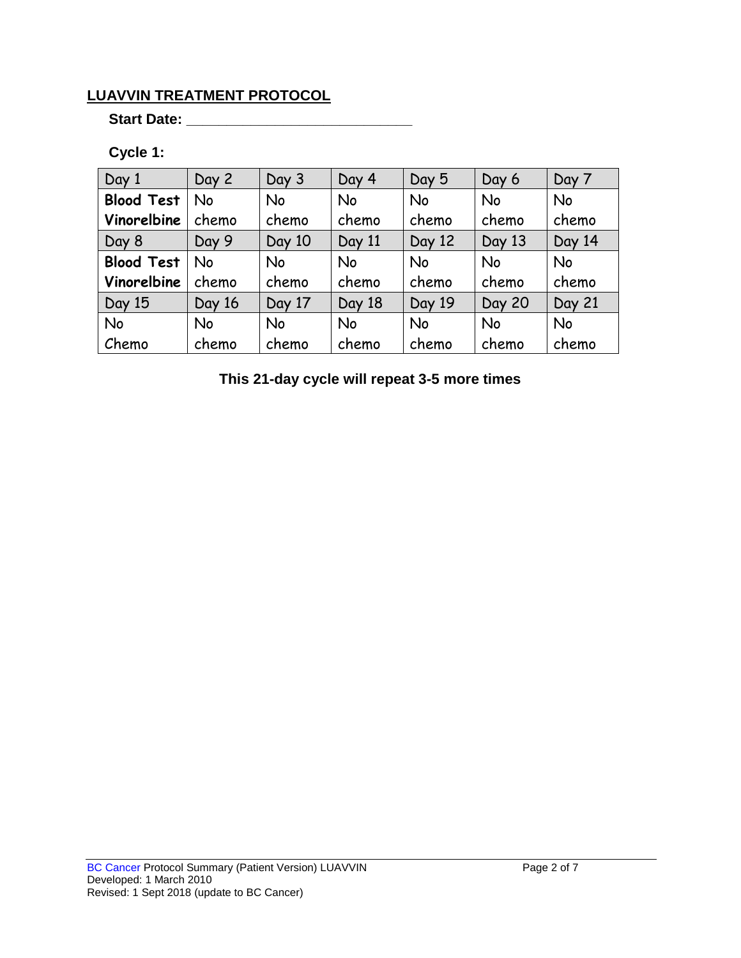## **LUAVVIN TREATMENT PROTOCOL**

**Start Date: \_\_\_\_\_\_\_\_\_\_\_\_\_\_\_\_\_\_\_\_\_\_\_\_\_\_\_\_**

## **Cycle 1:**

| Day 1             | Day 2     | Day 3  | Day 4     | Day 5     | Day 6         | Day 7     |
|-------------------|-----------|--------|-----------|-----------|---------------|-----------|
| <b>Blood Test</b> | <b>No</b> | No     | <b>No</b> | <b>No</b> | <b>No</b>     | <b>No</b> |
| Vinorelbine       | chemo     | chemo  | chemo     | chemo     | chemo         | chemo     |
| Day 8             | Day 9     | Day 10 | Day 11    | Day 12    | Day 13        | Day 14    |
| <b>Blood Test</b> | No        | No     | <b>No</b> | No        | <b>No</b>     | <b>No</b> |
| Vinorelbine       | chemo     | chemo  | chemo     | chemo     | chemo         | chemo     |
| Day 15            | Day 16    | Day 17 | Day 18    | Day 19    | <b>Day 20</b> | Day 21    |
| No                | <b>No</b> | No     | <b>No</b> | No        | <b>No</b>     | <b>No</b> |
| Chemo             | chemo     | chemo  | chemo     | chemo     | chemo         | chemo     |

**This 21-day cycle will repeat 3-5 more times**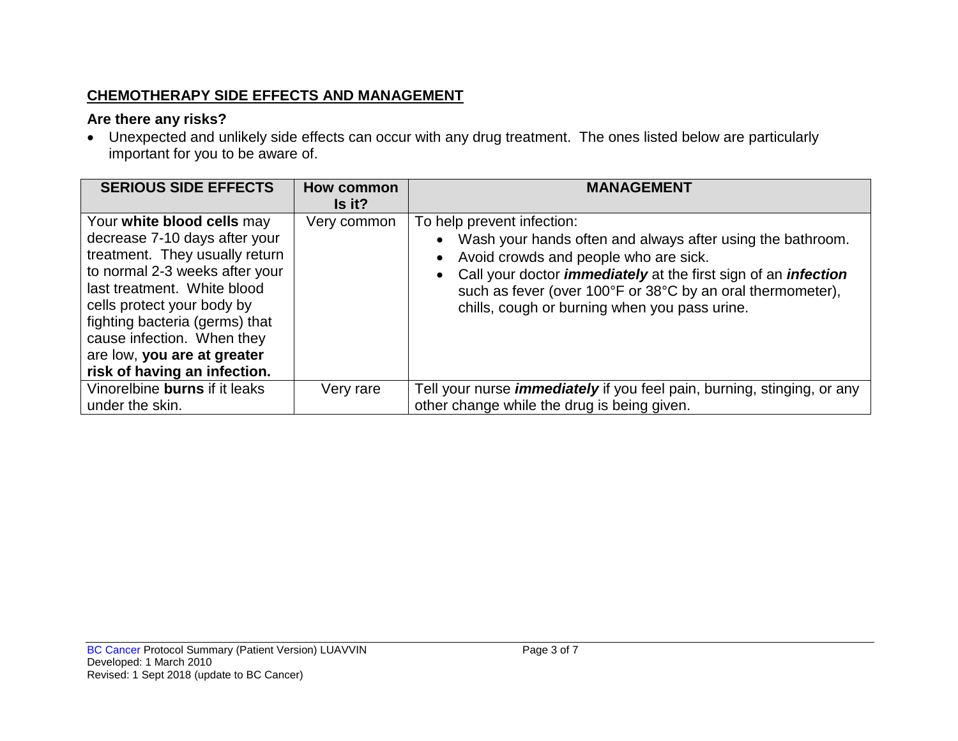## **CHEMOTHERAPY SIDE EFFECTS AND MANAGEMENT**

## **Are there any risks?**

• Unexpected and unlikely side effects can occur with any drug treatment. The ones listed below are particularly important for you to be aware of.

| <b>SERIOUS SIDE EFFECTS</b>                                                                                                                                                                                                                                                                                                 | <b>How common</b><br>Is it? | <b>MANAGEMENT</b>                                                                                                                                                                                                                                                                                                                |
|-----------------------------------------------------------------------------------------------------------------------------------------------------------------------------------------------------------------------------------------------------------------------------------------------------------------------------|-----------------------------|----------------------------------------------------------------------------------------------------------------------------------------------------------------------------------------------------------------------------------------------------------------------------------------------------------------------------------|
| Your white blood cells may<br>decrease 7-10 days after your<br>treatment. They usually return<br>to normal 2-3 weeks after your<br>last treatment. White blood<br>cells protect your body by<br>fighting bacteria (germs) that<br>cause infection. When they<br>are low, you are at greater<br>risk of having an infection. | Very common                 | To help prevent infection:<br>Wash your hands often and always after using the bathroom.<br>Avoid crowds and people who are sick.<br>Call your doctor <i>immediately</i> at the first sign of an <i>infection</i><br>such as fever (over 100°F or 38°C by an oral thermometer),<br>chills, cough or burning when you pass urine. |
| Vinorelbine burns if it leaks<br>under the skin.                                                                                                                                                                                                                                                                            | Very rare                   | Tell your nurse <i>immediately</i> if you feel pain, burning, stinging, or any<br>other change while the drug is being given.                                                                                                                                                                                                    |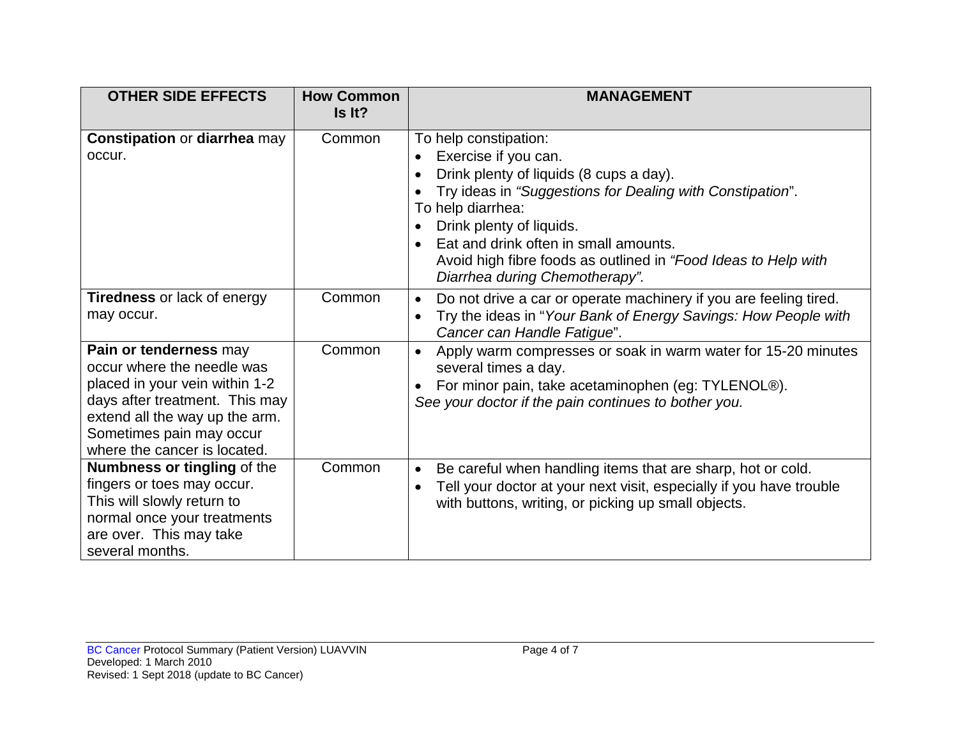| <b>OTHER SIDE EFFECTS</b>                                                                                                                                                                                              | <b>How Common</b><br>Is It? | <b>MANAGEMENT</b>                                                                                                                                                                                                                                                                                                                                   |
|------------------------------------------------------------------------------------------------------------------------------------------------------------------------------------------------------------------------|-----------------------------|-----------------------------------------------------------------------------------------------------------------------------------------------------------------------------------------------------------------------------------------------------------------------------------------------------------------------------------------------------|
| <b>Constipation or diarrhea may</b><br>occur.                                                                                                                                                                          | Common                      | To help constipation:<br>Exercise if you can.<br>Drink plenty of liquids (8 cups a day).<br>Try ideas in "Suggestions for Dealing with Constipation".<br>To help diarrhea:<br>Drink plenty of liquids.<br>Eat and drink often in small amounts.<br>Avoid high fibre foods as outlined in "Food Ideas to Help with<br>Diarrhea during Chemotherapy". |
| <b>Tiredness</b> or lack of energy<br>may occur.                                                                                                                                                                       | Common                      | Do not drive a car or operate machinery if you are feeling tired.<br>$\bullet$<br>Try the ideas in "Your Bank of Energy Savings: How People with<br>Cancer can Handle Fatigue".                                                                                                                                                                     |
| Pain or tenderness may<br>occur where the needle was<br>placed in your vein within 1-2<br>days after treatment. This may<br>extend all the way up the arm.<br>Sometimes pain may occur<br>where the cancer is located. | Common                      | Apply warm compresses or soak in warm water for 15-20 minutes<br>several times a day.<br>For minor pain, take acetaminophen (eg: TYLENOL®).<br>See your doctor if the pain continues to bother you.                                                                                                                                                 |
| <b>Numbness or tingling of the</b><br>fingers or toes may occur.<br>This will slowly return to<br>normal once your treatments<br>are over. This may take<br>several months.                                            | Common                      | Be careful when handling items that are sharp, hot or cold.<br>$\bullet$<br>Tell your doctor at your next visit, especially if you have trouble<br>with buttons, writing, or picking up small objects.                                                                                                                                              |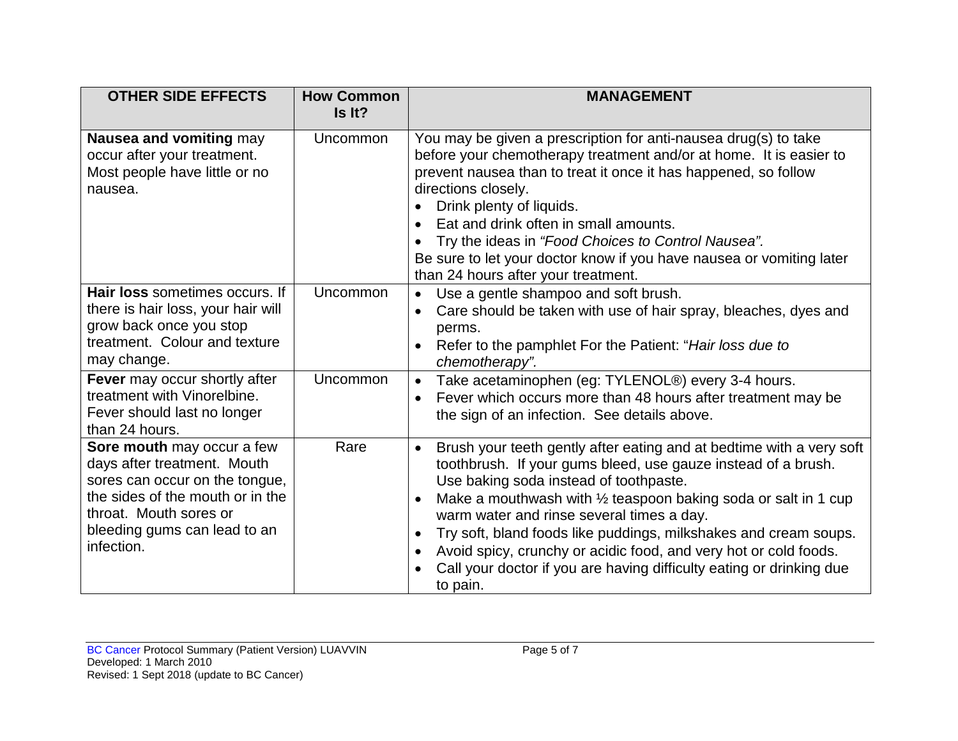| <b>OTHER SIDE EFFECTS</b>                                                                                                                                                                               | <b>How Common</b><br>Is It? | <b>MANAGEMENT</b>                                                                                                                                                                                                                                                                                                                                                                                                                                                                                                                                                               |
|---------------------------------------------------------------------------------------------------------------------------------------------------------------------------------------------------------|-----------------------------|---------------------------------------------------------------------------------------------------------------------------------------------------------------------------------------------------------------------------------------------------------------------------------------------------------------------------------------------------------------------------------------------------------------------------------------------------------------------------------------------------------------------------------------------------------------------------------|
| Nausea and vomiting may<br>occur after your treatment.<br>Most people have little or no<br>nausea.                                                                                                      | Uncommon                    | You may be given a prescription for anti-nausea drug(s) to take<br>before your chemotherapy treatment and/or at home. It is easier to<br>prevent nausea than to treat it once it has happened, so follow<br>directions closely.<br>Drink plenty of liquids.<br>Eat and drink often in small amounts.<br>$\bullet$<br>Try the ideas in "Food Choices to Control Nausea".<br>Be sure to let your doctor know if you have nausea or vomiting later<br>than 24 hours after your treatment.                                                                                          |
| Hair loss sometimes occurs. If<br>there is hair loss, your hair will<br>grow back once you stop<br>treatment. Colour and texture<br>may change.                                                         | Uncommon                    | Use a gentle shampoo and soft brush.<br>Care should be taken with use of hair spray, bleaches, dyes and<br>$\bullet$<br>perms.<br>Refer to the pamphlet For the Patient: "Hair loss due to<br>$\bullet$<br>chemotherapy".                                                                                                                                                                                                                                                                                                                                                       |
| Fever may occur shortly after<br>treatment with Vinorelbine.<br>Fever should last no longer<br>than 24 hours.                                                                                           | Uncommon                    | Take acetaminophen (eg: TYLENOL®) every 3-4 hours.<br>$\bullet$<br>Fever which occurs more than 48 hours after treatment may be<br>the sign of an infection. See details above.                                                                                                                                                                                                                                                                                                                                                                                                 |
| Sore mouth may occur a few<br>days after treatment. Mouth<br>sores can occur on the tongue,<br>the sides of the mouth or in the<br>throat. Mouth sores or<br>bleeding gums can lead to an<br>infection. | Rare                        | Brush your teeth gently after eating and at bedtime with a very soft<br>$\bullet$<br>toothbrush. If your gums bleed, use gauze instead of a brush.<br>Use baking soda instead of toothpaste.<br>Make a mouthwash with 1/2 teaspoon baking soda or salt in 1 cup<br>$\bullet$<br>warm water and rinse several times a day.<br>Try soft, bland foods like puddings, milkshakes and cream soups.<br>$\bullet$<br>Avoid spicy, crunchy or acidic food, and very hot or cold foods.<br>$\bullet$<br>Call your doctor if you are having difficulty eating or drinking due<br>to pain. |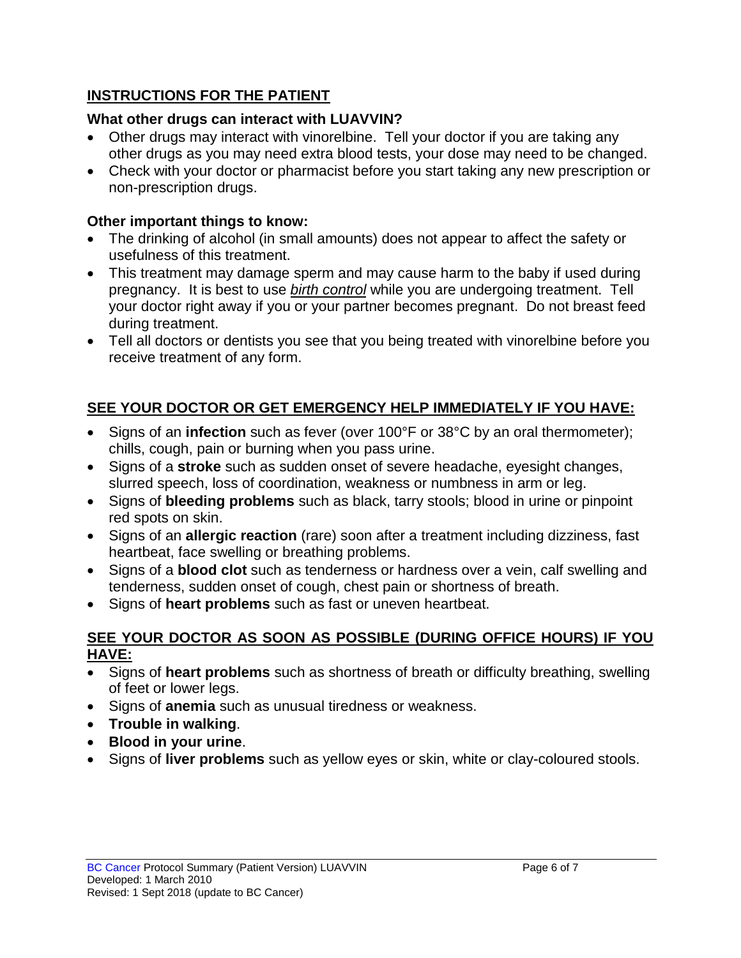## **INSTRUCTIONS FOR THE PATIENT**

## **What other drugs can interact with LUAVVIN?**

- Other drugs may interact with vinorelbine. Tell your doctor if you are taking any other drugs as you may need extra blood tests, your dose may need to be changed.
- Check with your doctor or pharmacist before you start taking any new prescription or non-prescription drugs.

## **Other important things to know:**

- The drinking of alcohol (in small amounts) does not appear to affect the safety or usefulness of this treatment.
- This treatment may damage sperm and may cause harm to the baby if used during pregnancy. It is best to use *birth control* while you are undergoing treatment. Tell your doctor right away if you or your partner becomes pregnant. Do not breast feed during treatment.
- Tell all doctors or dentists you see that you being treated with vinorelbine before you receive treatment of any form.

# **SEE YOUR DOCTOR OR GET EMERGENCY HELP IMMEDIATELY IF YOU HAVE:**

- Signs of an **infection** such as fever (over 100°F or 38°C by an oral thermometer); chills, cough, pain or burning when you pass urine.
- Signs of a **stroke** such as sudden onset of severe headache, eyesight changes, slurred speech, loss of coordination, weakness or numbness in arm or leg.
- Signs of **bleeding problems** such as black, tarry stools; blood in urine or pinpoint red spots on skin.
- Signs of an **allergic reaction** (rare) soon after a treatment including dizziness, fast heartbeat, face swelling or breathing problems.
- Signs of a **blood clot** such as tenderness or hardness over a vein, calf swelling and tenderness, sudden onset of cough, chest pain or shortness of breath.
- Signs of **heart problems** such as fast or uneven heartbeat.

#### **SEE YOUR DOCTOR AS SOON AS POSSIBLE (DURING OFFICE HOURS) IF YOU HAVE:**

- Signs of **heart problems** such as shortness of breath or difficulty breathing, swelling of feet or lower legs.
- Signs of **anemia** such as unusual tiredness or weakness.
- **Trouble in walking**.
- **Blood in your urine**.
- Signs of **liver problems** such as yellow eyes or skin, white or clay-coloured stools.